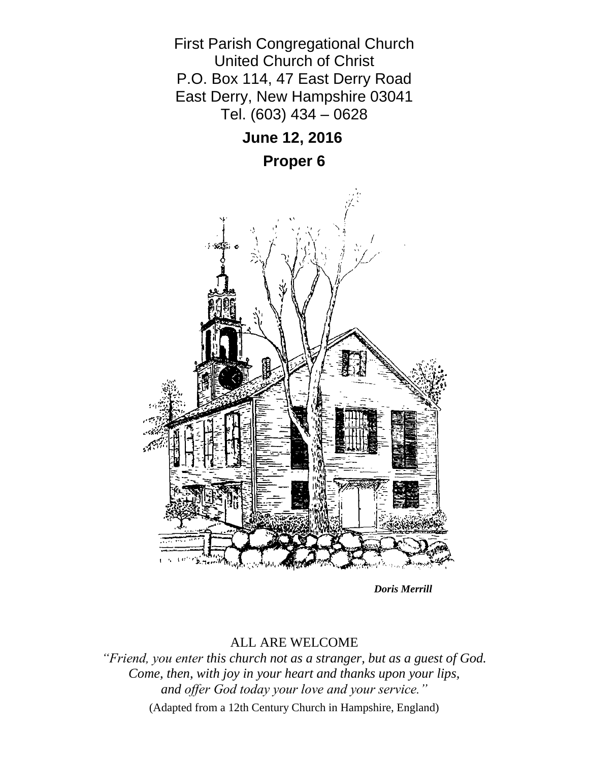

*Doris Merrill*

## ALL ARE WELCOME

*"Friend, you enter this church not as a stranger, but as a guest of God. Come, then, with joy in your heart and thanks upon your lips, and offer God today your love and your service."* (Adapted from a 12th Century Church in Hampshire, England)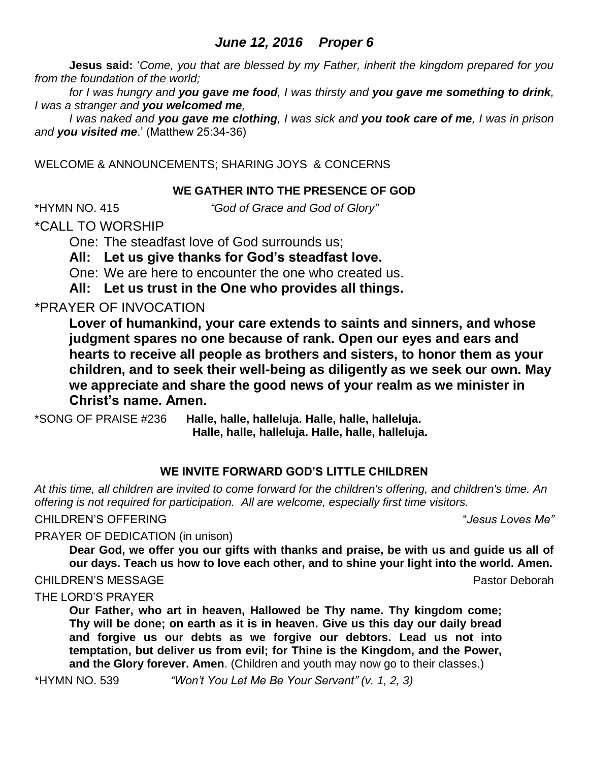# *June 12, 2016 Proper 6*

**Jesus said:** '*Come, you that are blessed by my Father, inherit the kingdom prepared for you from the foundation of the world;* 

*for I was hungry and you gave me food, I was thirsty and you gave me something to drink, I was a stranger and you welcomed me,* 

*I was naked and you gave me clothing, I was sick and you took care of me, I was in prison and you visited me*.' (Matthew 25:34-36)

WELCOME & ANNOUNCEMENTS; SHARING JOYS & CONCERNS

## **WE GATHER INTO THE PRESENCE OF GOD**

\*HYMN NO. 415 *"God of Grace and God of Glory"*

\*CALL TO WORSHIP

One: The steadfast love of God surrounds us;

**All: Let us give thanks for God's steadfast love.**

One: We are here to encounter the one who created us.

**All: Let us trust in the One who provides all things.**

# \*PRAYER OF INVOCATION

**Lover of humankind, your care extends to saints and sinners, and whose judgment spares no one because of rank. Open our eyes and ears and hearts to receive all people as brothers and sisters, to honor them as your children, and to seek their well-being as diligently as we seek our own. May we appreciate and share the good news of your realm as we minister in Christ's name. Amen.**

\*SONG OF PRAISE #236 **Halle, halle, halleluja. Halle, halle, halleluja. Halle, halle, halleluja. Halle, halle, halleluja.**

## **WE INVITE FORWARD GOD'S LITTLE CHILDREN**

*At this time, all children are invited to come forward for the children's offering, and children's time. An offering is not required for participation. All are welcome, especially first time visitors.*

CHILDREN'S OFFERING "*Jesus Loves Me"*

PRAYER OF DEDICATION (in unison)

**Dear God, we offer you our gifts with thanks and praise, be with us and guide us all of our days. Teach us how to love each other, and to shine your light into the world. Amen.**

CHILDREN'S MESSAGE **Pastor Deborah** Pastor Deborah

#### THE LORD'S PRAYER

**Our Father, who art in heaven, Hallowed be Thy name. Thy kingdom come; Thy will be done; on earth as it is in heaven. Give us this day our daily bread and forgive us our debts as we forgive our debtors. Lead us not into temptation, but deliver us from evil; for Thine is the Kingdom, and the Power, and the Glory forever. Amen**. (Children and youth may now go to their classes.)

\*HYMN NO. 539 *"Won't You Let Me Be Your Servant" (v. 1, 2, 3)*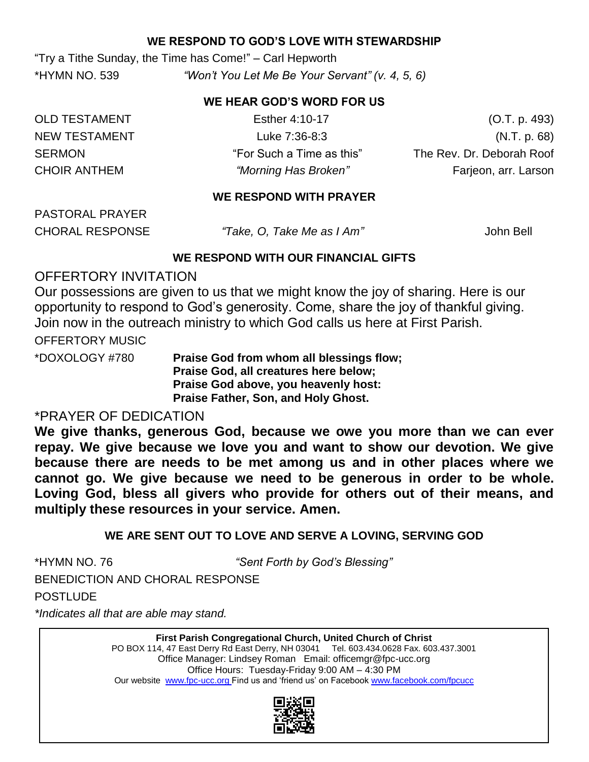### **WE RESPOND TO GOD'S LOVE WITH STEWARDSHIP**

"Try a Tithe Sunday, the Time has Come!" – Carl Hepworth \*HYMN NO. 539 *"Won't You Let Me Be Your Servant" (v. 4, 5, 6)*

#### **WE HEAR GOD'S WORD FOR US**

OLD TESTAMENT Esther 4:10-17 Esther 4:10-17 (O.T. p. 493) NEW TESTAMENT Luke 7:36-8:3 (N.T. p. 68) SERMON THE "For Such a Time as this" The Rev. Dr. Deborah Roof CHOIR ANTHEM *"Morning Has Broken"* Farjeon, arr. Larson

#### **WE RESPOND WITH PRAYER**

PASTORAL PRAYER

CHORAL RESPONSE *"Take, O, Take Me as I Am"* John Bell

#### **WE RESPOND WITH OUR FINANCIAL GIFTS**

## OFFERTORY INVITATION

Our possessions are given to us that we might know the joy of sharing. Here is our opportunity to respond to God's generosity. Come, share the joy of thankful giving. Join now in the outreach ministry to which God calls us here at First Parish.

OFFERTORY MUSIC

\*DOXOLOGY #780 **Praise God from whom all blessings flow; Praise God, all creatures here below; Praise God above, you heavenly host: Praise Father, Son, and Holy Ghost.**

# \*PRAYER OF DEDICATION

**We give thanks, generous God, because we owe you more than we can ever repay. We give because we love you and want to show our devotion. We give because there are needs to be met among us and in other places where we cannot go. We give because we need to be generous in order to be whole. Loving God, bless all givers who provide for others out of their means, and multiply these resources in your service. Amen.**

## **WE ARE SENT OUT TO LOVE AND SERVE A LOVING, SERVING GOD**

\*HYMN NO. 76 *"Sent Forth by God's Blessing"* BENEDICTION AND CHORAL RESPONSE **POSTLUDE** 

*\*Indicates all that are able may stand.*

**First Parish Congregational Church, United Church of Christ** PO BOX 114, 47 East Derry Rd East Derry, NH 03041 Tel. 603.434.0628 Fax. 603.437.3001 Office Manager: Lindsey Roman Email: officemgr@fpc-ucc.org Office Hours: Tuesday-Friday 9:00 AM – 4:30 PM Our website [www.fpc-ucc.org](http://www.fpc-ucc.org/) Find us and 'friend us' on Facebook [www.facebook.com/fpcucc](http://www.facebook.com/fpcucc)

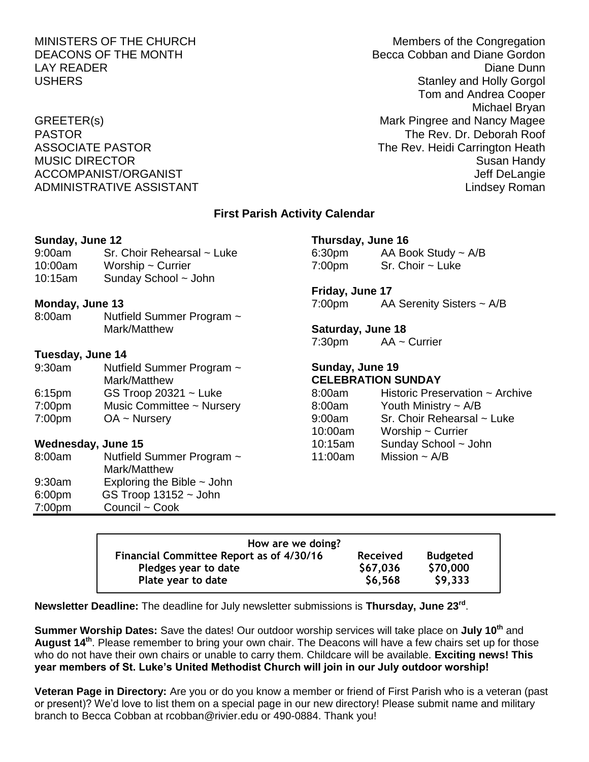MINISTERS OF THE CHURCH MINISTERS OF THE CHURCH DEACONS OF THE MONTH BECCA Cobban and Diane Gordon LAY READER Diane Dunn USHERS **Stanley and Holly Gorgol** Tom and Andrea Cooper Michael Bryan GREETER(s) GREETER(s) CREETER(s) PASTOR THE Rev. Dr. Deborah Roof (NASTOR The Rev. Dr. Deborah Roof ASSOCIATE PASTOR The Rev. Heidi Carrington Heath MUSIC DIRECTOR Susan Handy ACCOMPANIST/ORGANIST ACCOMPANIST ACCOMPANIST/ORGANIST ADMINISTRATIVE ASSISTANT AND ALL THE LINDS OF A LINDS AND MINISTRATIVE ASSISTANT

#### **First Parish Activity Calendar**

| Sunday, June 12                   |                                                                                                                                                                                                                  | Thursday, June 16               |  |  |
|-----------------------------------|------------------------------------------------------------------------------------------------------------------------------------------------------------------------------------------------------------------|---------------------------------|--|--|
| Sr. Choir Rehearsal ~ Luke        |                                                                                                                                                                                                                  | 6:30pm AA Book Study $\sim$ A/B |  |  |
| 10:00am<br>Worship $\sim$ Currier | 7:00pm                                                                                                                                                                                                           | $Sr.$ Choir $\sim$ Luke         |  |  |
| Sunday School ~ John              |                                                                                                                                                                                                                  |                                 |  |  |
|                                   |                                                                                                                                                                                                                  | Friday, June 17                 |  |  |
|                                   |                                                                                                                                                                                                                  | AA Serenity Sisters $\sim$ A/B  |  |  |
|                                   |                                                                                                                                                                                                                  |                                 |  |  |
| Mark/Matthew                      | <b>Saturday, June 18</b>                                                                                                                                                                                         |                                 |  |  |
|                                   |                                                                                                                                                                                                                  | $7:30 \text{pm}$ AA ~ Currier   |  |  |
| Tuesday, June 14                  |                                                                                                                                                                                                                  |                                 |  |  |
| Nutfield Summer Program ~         | Sunday, June 19                                                                                                                                                                                                  |                                 |  |  |
| 9:30am<br>Mark/Matthew            |                                                                                                                                                                                                                  | <b>CELEBRATION SUNDAY</b>       |  |  |
|                                   | 8:00am                                                                                                                                                                                                           | Historic Preservation ~ Archive |  |  |
| 7:00pm                            | 8:00am                                                                                                                                                                                                           | Youth Ministry $\sim$ A/B       |  |  |
|                                   | 9:00am                                                                                                                                                                                                           | Sr. Choir Rehearsal ~ Luke      |  |  |
|                                   | 10:00am                                                                                                                                                                                                          | Worship $\sim$ Currier          |  |  |
|                                   | 10:15am                                                                                                                                                                                                          | Sunday School ~ John            |  |  |
|                                   | 11:00am                                                                                                                                                                                                          | Mission $\sim$ A/B              |  |  |
| Mark/Matthew                      |                                                                                                                                                                                                                  |                                 |  |  |
|                                   |                                                                                                                                                                                                                  |                                 |  |  |
| $GS$ Troop 13152 $\sim$ John      |                                                                                                                                                                                                                  |                                 |  |  |
| Council ~ Cook                    |                                                                                                                                                                                                                  |                                 |  |  |
|                                   | Monday, June 13<br>Nutfield Summer Program ~<br>GS Troop $20321 -$ Luke<br>Music Committee ~ Nursery<br>$OA ~\sim$ Nursery<br>Wednesday, June 15<br>Nutfield Summer Program ~<br>Exploring the Bible $\sim$ John | 7:00pm                          |  |  |

| How are we doing?                        |                 |                 |
|------------------------------------------|-----------------|-----------------|
| Financial Committee Report as of 4/30/16 | <b>Received</b> | <b>Budgeted</b> |
| Pledges year to date                     | \$67,036        | \$70,000        |
| Plate year to date                       | \$6,568         | \$9,333         |

**Newsletter Deadline:** The deadline for July newsletter submissions is **Thursday, June 23rd** .

**Summer Worship Dates:** Save the dates! Our outdoor worship services will take place on **July 10th** and **August 14th** . Please remember to bring your own chair. The Deacons will have a few chairs set up for those who do not have their own chairs or unable to carry them. Childcare will be available. **Exciting news! This year members of St. Luke's United Methodist Church will join in our July outdoor worship!**

**Veteran Page in Directory:** Are you or do you know a member or friend of First Parish who is a veteran (past or present)? We'd love to list them on a special page in our new directory! Please submit name and military branch to Becca Cobban at rcobban@rivier.edu or 490-0884. Thank you!